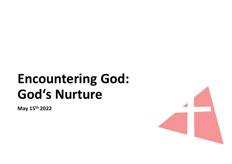# Encountering God:<br>God's Nurture Encountering God:<br>God's Nurture

May 15th 2022

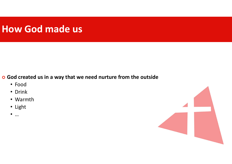### How God made us

o God created us in a way that we need nurture from the outside

- Food
- Drink
- Warmth
- Light
- …

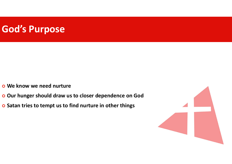#### God's Purpose

- We know we need nurture
- o Our hunger should draw us to closer dependence on God
- o Satan tries to tempt us to find nurture in other things

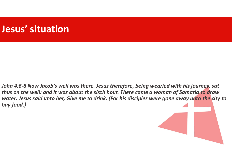# Jesus' situation

John 4:6-8 Now Jacob's well was there. Jesus therefore, being wearied with his journey, sat thus on the well: and it was about the sixth hour. There came a woman of Samaria to draw water: Jesus said unto her, Give me to drink. (For his disciples were gone away unto the city to buy food.)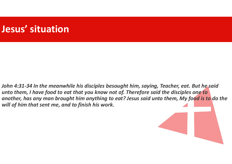# Jesus' situation

John 4:31-34 In the meanwhile his disciples besought him, saying, Teacher, eat. But he said unto them, I have food to eat that you know not of. Therefore said the disciples one to another, has any man brought him anything to eat? Jesus said unto them, My food is to do the will of him that sent me, and to finish his work.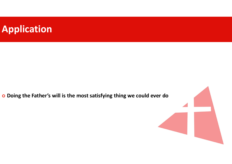### Application

Doing the Father's will is the most satisfying thing we could ever do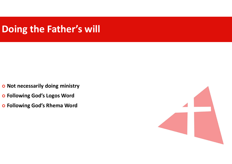### Doing the Father's will

- o Not necessarily doing ministry
- Following God's Logos Word
- Following God's Rhema Word

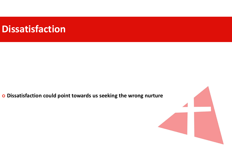#### Dissatisfaction

o Dissatisfaction could point towards us seeking the wrong nurture

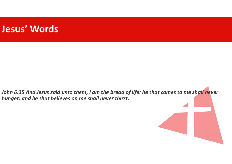#### Jesus' Words

John 6:35 And Jesus said unto them, I am the bread of life: he that comes to me shall never hunger; and he that believes on me shall never thirst.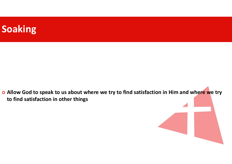

o Allow God to speak to us about where we try to find satisfaction in Him and where we try to find satisfaction in other things